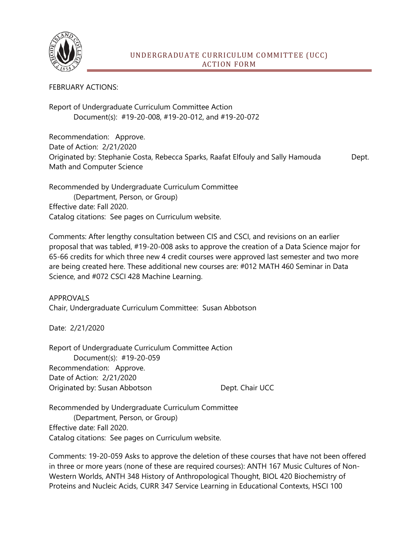

## FEBRUARY ACTIONS:

Report of Undergraduate Curriculum Committee Action Document(s): #19-20-008, #19-20-012, and #19-20-072

Recommendation: Approve. Date of Action: 2/21/2020 Originated by: Stephanie Costa, Rebecca Sparks, Raafat Elfouly and Sally Hamouda Dept. Math and Computer Science

Recommended by Undergraduate Curriculum Committee (Department, Person, or Group) Effective date: Fall 2020. Catalog citations: See pages on Curriculum website.

Comments: After lengthy consultation between CIS and CSCI, and revisions on an earlier proposal that was tabled, #19-20-008 asks to approve the creation of a Data Science major for 65-66 credits for which three new 4 credit courses were approved last semester and two more are being created here. These additional new courses are: #012 MATH 460 Seminar in Data Science, and #072 CSCI 428 Machine Learning.

APPROVALS Chair, Undergraduate Curriculum Committee: Susan Abbotson

Date: 2/21/2020

Report of Undergraduate Curriculum Committee Action Document(s): #19-20-059 Recommendation: Approve. Date of Action: 2/21/2020 Originated by: Susan Abbotson Dept. Chair UCC

Recommended by Undergraduate Curriculum Committee (Department, Person, or Group) Effective date: Fall 2020. Catalog citations: See pages on Curriculum website.

Comments: 19-20-059 Asks to approve the deletion of these courses that have not been offered in three or more years (none of these are required courses): ANTH 167 Music Cultures of Non-Western Worlds, ANTH 348 History of Anthropological Thought, BIOL 420 Biochemistry of Proteins and Nucleic Acids, CURR 347 Service Learning in Educational Contexts, HSCI 100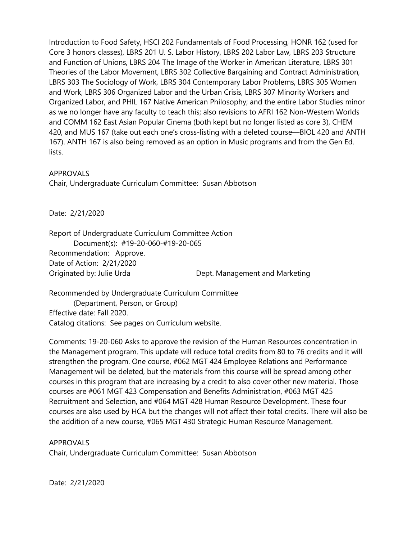Introduction to Food Safety, HSCI 202 Fundamentals of Food Processing, HONR 162 (used for Core 3 honors classes), LBRS 201 U. S. Labor History, LBRS 202 Labor Law, LBRS 203 Structure and Function of Unions, LBRS 204 The Image of the Worker in American Literature, LBRS 301 Theories of the Labor Movement, LBRS 302 Collective Bargaining and Contract Administration, LBRS 303 The Sociology of Work, LBRS 304 Contemporary Labor Problems, LBRS 305 Women and Work, LBRS 306 Organized Labor and the Urban Crisis, LBRS 307 Minority Workers and Organized Labor, and PHIL 167 Native American Philosophy; and the entire Labor Studies minor as we no longer have any faculty to teach this; also revisions to AFRI 162 Non-Western Worlds and COMM 162 East Asian Popular Cinema (both kept but no longer listed as core 3), CHEM 420, and MUS 167 (take out each one's cross-listing with a deleted course—BIOL 420 and ANTH 167). ANTH 167 is also being removed as an option in Music programs and from the Gen Ed. lists.

## APPROVALS

Chair, Undergraduate Curriculum Committee: Susan Abbotson

Date: 2/21/2020

Report of Undergraduate Curriculum Committee Action Document(s): #19-20-060-#19-20-065 Recommendation: Approve. Date of Action: 2/21/2020 Originated by: Julie Urda Dept. Management and Marketing

Recommended by Undergraduate Curriculum Committee (Department, Person, or Group) Effective date: Fall 2020. Catalog citations: See pages on Curriculum website.

Comments: 19-20-060 Asks to approve the revision of the Human Resources concentration in the Management program. This update will reduce total credits from 80 to 76 credits and it will strengthen the program. One course, #062 MGT 424 Employee Relations and Performance Management will be deleted, but the materials from this course will be spread among other courses in this program that are increasing by a credit to also cover other new material. Those courses are #061 MGT 423 Compensation and Benefits Administration, #063 MGT 425 Recruitment and Selection, and #064 MGT 428 Human Resource Development. These four courses are also used by HCA but the changes will not affect their total credits. There will also be the addition of a new course, #065 MGT 430 Strategic Human Resource Management.

## APPROVALS

Chair, Undergraduate Curriculum Committee: Susan Abbotson

Date: 2/21/2020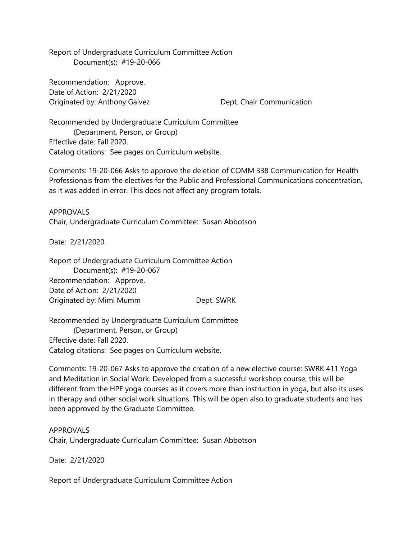Report of Undergraduate Curriculum Committee Action Document(s): #19-20-066

Recommendation: Approve. Date of Action: 2/21/2020 Originated by: Anthony Galvez **Dept. Chair Communication** 

Recommended by Undergraduate Curriculum Committee (Department, Person, or Group) Effective date: Fall 2020. Catalog citations: See pages on Curriculum website.

Comments: 19-20-066 Asks to approve the deletion of COMM 338 Communication for Health Professionals from the electives for the Public and Professional Communications concentration, as it was added in error. This does not affect any program totals.

APPROVALS Chair, Undergraduate Curriculum Committee: Susan Abbotson

Date: 2/21/2020

Report of Undergraduate Curriculum Committee Action Document(s): #19-20-067 Recommendation: Approve. Date of Action: 2/21/2020 Originated by: Mimi Mumm Dept. SWRK

Recommended by Undergraduate Curriculum Committee (Department, Person, or Group) Effective date: Fall 2020. Catalog citations: See pages on Curriculum website.

Comments: 19-20-067 Asks to approve the creation of a new elective course: SWRK 411 Yoga and Meditation in Social Work. Developed from a successful workshop course, this will be different from the HPE yoga courses as it covers more than instruction in yoga, but also its uses in therapy and other social work situations. This will be open also to graduate students and has been approved by the Graduate Committee.

APPROVALS

Chair, Undergraduate Curriculum Committee: Susan Abbotson

Date: 2/21/2020

Report of Undergraduate Curriculum Committee Action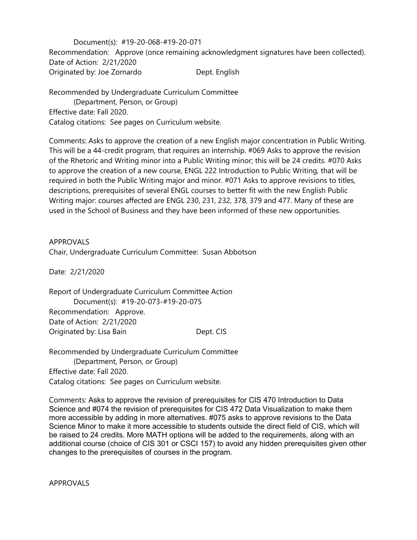Document(s): #19-20-068-#19-20-071 Recommendation: Approve (once remaining acknowledgment signatures have been collected). Date of Action: 2/21/2020 Originated by: Joe Zornardo Dept. English

Recommended by Undergraduate Curriculum Committee (Department, Person, or Group) Effective date: Fall 2020. Catalog citations: See pages on Curriculum website.

Comments: Asks to approve the creation of a new English major concentration in Public Writing. This will be a 44-credit program, that requires an internship. #069 Asks to approve the revision of the Rhetoric and Writing minor into a Public Writing minor; this will be 24 credits. #070 Asks to approve the creation of a new course, ENGL 222 Introduction to Public Writing, that will be required in both the Public Writing major and minor. #071 Asks to approve revisions to titles, descriptions, prerequisites of several ENGL courses to better fit with the new English Public Writing major: courses affected are ENGL 230, 231, 232, 378, 379 and 477. Many of these are used in the School of Business and they have been informed of these new opportunities.

APPROVALS Chair, Undergraduate Curriculum Committee: Susan Abbotson

Date: 2/21/2020

Report of Undergraduate Curriculum Committee Action Document(s): #19-20-073-#19-20-075 Recommendation: Approve. Date of Action: 2/21/2020 Originated by: Lisa Bain Dept. CIS

Recommended by Undergraduate Curriculum Committee (Department, Person, or Group) Effective date: Fall 2020. Catalog citations: See pages on Curriculum website.

Comments: Asks to approve the revision of prerequisites for CIS 470 Introduction to Data Science and #074 the revision of prerequisites for CIS 472 Data Visualization to make them more accessible by adding in more alternatives. #075 asks to approve revisions to the Data Science Minor to make it more accessible to students outside the direct field of CIS, which will be raised to 24 credits. More MATH options will be added to the requirements, along with an additional course (choice of CIS 301 or CSCI 157) to avoid any hidden prerequisites given other changes to the prerequisites of courses in the program.

APPROVALS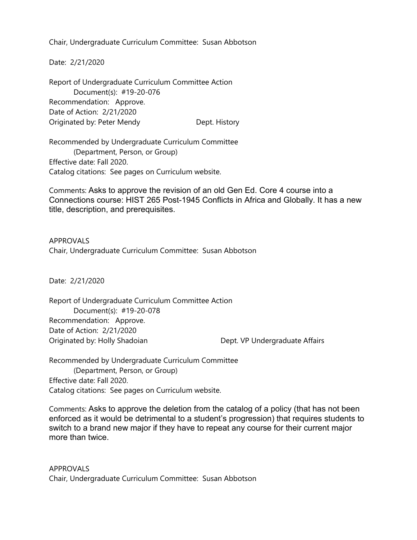Chair, Undergraduate Curriculum Committee: Susan Abbotson

Date: 2/21/2020

Report of Undergraduate Curriculum Committee Action Document(s): #19-20-076 Recommendation: Approve. Date of Action: 2/21/2020 Originated by: Peter Mendy Dept. History

Recommended by Undergraduate Curriculum Committee (Department, Person, or Group) Effective date: Fall 2020. Catalog citations: See pages on Curriculum website.

Comments: Asks to approve the revision of an old Gen Ed. Core 4 course into a Connections course: HIST 265 Post-1945 Conflicts in Africa and Globally. It has a new title, description, and prerequisites.

APPROVALS Chair, Undergraduate Curriculum Committee: Susan Abbotson

Date: 2/21/2020

Report of Undergraduate Curriculum Committee Action Document(s): #19-20-078 Recommendation: Approve. Date of Action: 2/21/2020 Originated by: Holly Shadoian Dept. VP Undergraduate Affairs

Recommended by Undergraduate Curriculum Committee (Department, Person, or Group) Effective date: Fall 2020. Catalog citations: See pages on Curriculum website.

Comments: Asks to approve the deletion from the catalog of a policy (that has not been enforced as it would be detrimental to a student's progression) that requires students to switch to a brand new major if they have to repeat any course for their current major more than twice.

APPROVALS Chair, Undergraduate Curriculum Committee: Susan Abbotson